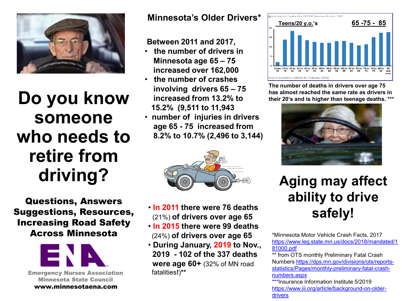

# **Do you know someone who needs to retire from driving?**

Questions, Answers Suggestions, Resources, Increasing Road Safety Across Minnesota



Minnesota State Council www.minnesotaena.com

#### **Minnesota's Older Drivers\***

#### **Between 2011 and 2017,**

- **the number of drivers in Minnesota age 65 – 75 increased over 162,000**
- **the number of crashes involving drivers 65 – 75 increased from 13.2% to 15.2% (9,511 to 11,943**
- **number of injuries in drivers age 65 - 75 increased from 8.2% to 10.7% (2,496 to 3,144)**



- **In 2011 there were 76 deaths**  (21%) **of drivers over age 65**
- **In 2015 there were 99 deaths**  (24%) **of drivers over age 65**
- **During January, 2019 to Nov., 2019 - 102 of the 337 deaths were age 60+** (32% of MN road



**The number of deaths in drivers over age 75 has almost reached the same rate as drivers in their 20's and is higher than teenage deaths. \*\*\***



# **Aging may affect ability to drive safely!**

\*Minnesota Motor Vehicle Crash Facts, 2017 [https://www.leg.state.mn.us/docs/2018/mandated/1](https://www.leg.state.mn.us/docs/2018/mandated/181000.pdf) 81000.pdf

\*\* from OTS monthly Preliminary Fatal Crash [Numbers https://dps.mn.gov/divisions/ots/reports](https://dps.mn.gov/divisions/ots/reports-statistics/Pages/monthly-preliminary-fatal-crash-numbers.aspx)statistics/Pages/monthly-preliminary-fatal-crashnumbers.aspx

\*\*\*Insurance Information Institute 5/2019 [https://www.iii.org/article/background-on-older](https://www.iii.org/article/background-on-older-drivers)drivers